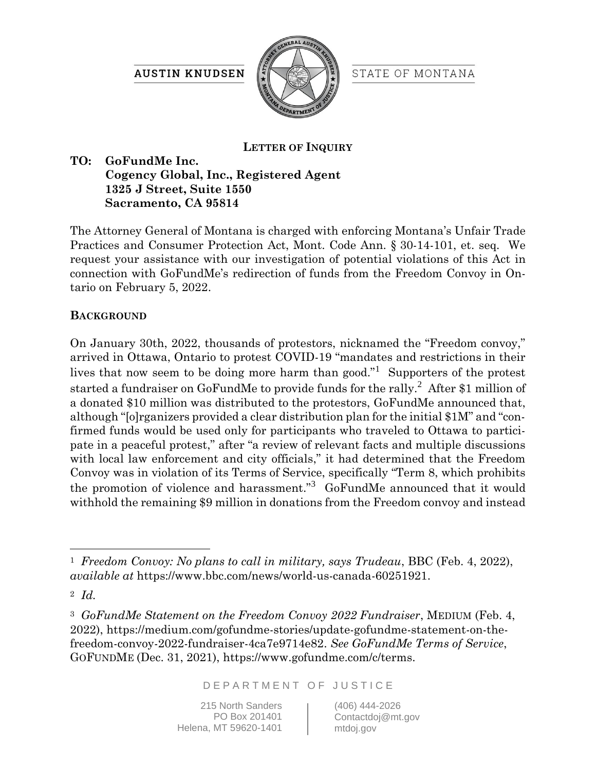**AUSTIN KNUDSEN** 



STATE OF MONTANA

## **LETTER OF INQUIRY**

## **TO: GoFundMe Inc. Cogency Global, Inc., Registered Agent 1325 J Street, Suite 1550 Sacramento, CA 95814**

The Attorney General of Montana is charged with enforcing Montana's Unfair Trade Practices and Consumer Protection Act, Mont. Code Ann. § 30-14-101, et. seq. We request your assistance with our investigation of potential violations of this Act in connection with GoFundMe's redirection of funds from the Freedom Convoy in Ontario on February 5, 2022.

## **BACKGROUND**

On January 30th, 2022, thousands of protestors, nicknamed the "Freedom convoy," arrived in Ottawa, Ontario to protest COVID-19 "mandates and restrictions in their lives that now seem to be doing more harm than good."<sup>1</sup> Supporters of the protest started a fundraiser on GoFundMe to provide funds for the rally.<sup>2</sup> After \$1 million of a donated \$10 million was distributed to the protestors, GoFundMe announced that, although "[o]rganizers provided a clear distribution plan for the initial \$1M" and "confirmed funds would be used only for participants who traveled to Ottawa to participate in a peaceful protest," after "a review of relevant facts and multiple discussions with local law enforcement and city officials," it had determined that the Freedom Convoy was in violation of its Terms of Service, specifically "Term 8, which prohibits the promotion of violence and harassment."<sup>3</sup> GoFundMe announced that it would withhold the remaining \$9 million in donations from the Freedom convoy and instead

<sup>2</sup> *Id.*

<sup>3</sup> *GoFundMe Statement on the Freedom Convoy 2022 Fundraiser*, MEDIUM (Feb. 4, 2022), https://medium.com/gofundme-stories/update-gofundme-statement-on-thefreedom-convoy-2022-fundraiser-4ca7e9714e82. *See GoFundMe Terms of Service*, GOFUNDME (Dec. 31, 2021), https://www.gofundme.com/c/terms.

D E P A R T M E N T O F J U S T I C E

215 North Sanders PO Box 201401 Helena, MT 59620-1401 (406) 444-2026 Contactdoj@mt.gov mtdoj.gov

<sup>1</sup> *Freedom Convoy: No plans to call in military, says Trudeau*, BBC (Feb. 4, 2022), *available at* https://www.bbc.com/news/world-us-canada-60251921.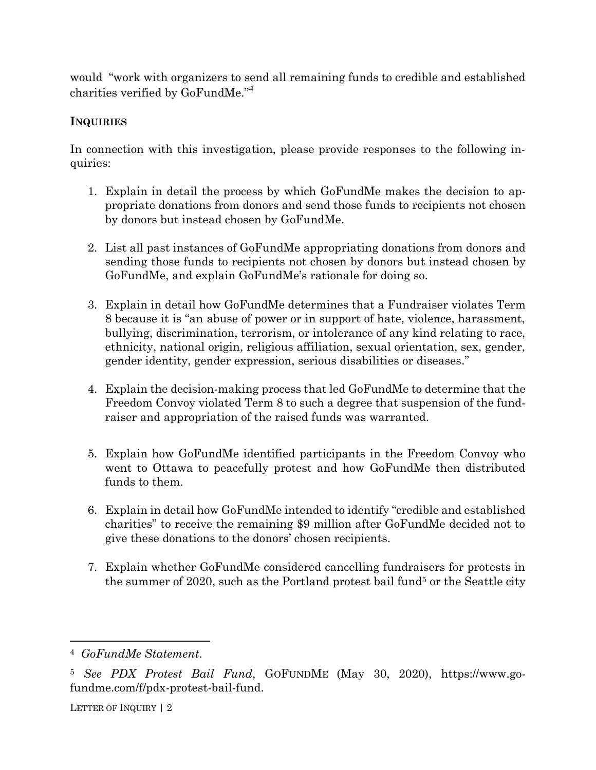would "work with organizers to send all remaining funds to credible and established charities verified by GoFundMe."<sup>4</sup>

## **INQUIRIES**

In connection with this investigation, please provide responses to the following inquiries:

- 1. Explain in detail the process by which GoFundMe makes the decision to appropriate donations from donors and send those funds to recipients not chosen by donors but instead chosen by GoFundMe.
- 2. List all past instances of GoFundMe appropriating donations from donors and sending those funds to recipients not chosen by donors but instead chosen by GoFundMe, and explain GoFundMe's rationale for doing so.
- 3. Explain in detail how GoFundMe determines that a Fundraiser violates Term 8 because it is "an abuse of power or in support of hate, violence, harassment, bullying, discrimination, terrorism, or intolerance of any kind relating to race, ethnicity, national origin, religious affiliation, sexual orientation, sex, gender, gender identity, gender expression, serious disabilities or diseases."
- 4. Explain the decision-making process that led GoFundMe to determine that the Freedom Convoy violated Term 8 to such a degree that suspension of the fundraiser and appropriation of the raised funds was warranted.
- 5. Explain how GoFundMe identified participants in the Freedom Convoy who went to Ottawa to peacefully protest and how GoFundMe then distributed funds to them.
- 6. Explain in detail how GoFundMe intended to identify "credible and established charities" to receive the remaining \$9 million after GoFundMe decided not to give these donations to the donors' chosen recipients.
- 7. Explain whether GoFundMe considered cancelling fundraisers for protests in the summer of 2020, such as the Portland protest bail fund<sup>5</sup> or the Seattle city

LETTER OF INQUIRY | 2

<sup>4</sup> *GoFundMe Statement*.

<sup>5</sup> *See PDX Protest Bail Fund*, GOFUNDME (May 30, 2020), https://www.gofundme.com/f/pdx-protest-bail-fund.